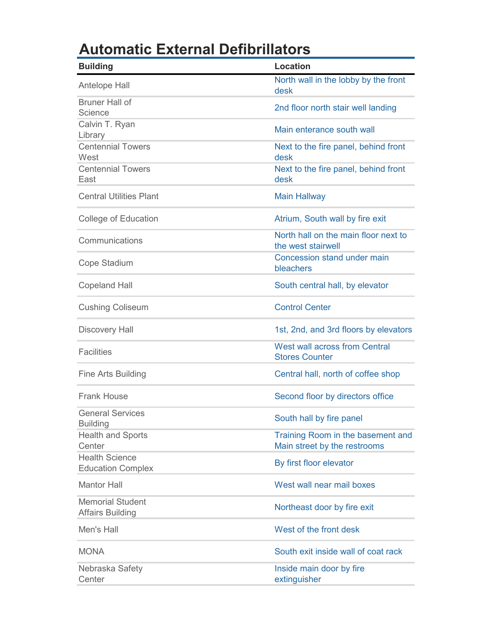## **Automatic External Defibrillators**

| <b>Building</b>                                    | <b>Location</b>                                                   |
|----------------------------------------------------|-------------------------------------------------------------------|
| Antelope Hall                                      | North wall in the lobby by the front<br>desk                      |
| <b>Bruner Hall of</b><br>Science                   | 2nd floor north stair well landing                                |
| Calvin T. Ryan<br>Library                          | Main enterance south wall                                         |
| <b>Centennial Towers</b><br>West                   | Next to the fire panel, behind front<br>desk                      |
| <b>Centennial Towers</b><br>East                   | Next to the fire panel, behind front<br>desk                      |
| <b>Central Utilities Plant</b>                     | <b>Main Hallway</b>                                               |
| <b>College of Education</b>                        | Atrium, South wall by fire exit                                   |
| Communications                                     | North hall on the main floor next to<br>the west stairwell        |
| Cope Stadium                                       | Concession stand under main<br>bleachers                          |
| <b>Copeland Hall</b>                               | South central hall, by elevator                                   |
| <b>Cushing Coliseum</b>                            | <b>Control Center</b>                                             |
| <b>Discovery Hall</b>                              | 1st, 2nd, and 3rd floors by elevators                             |
| <b>Facilities</b>                                  | <b>West wall across from Central</b><br><b>Stores Counter</b>     |
| Fine Arts Building                                 | Central hall, north of coffee shop                                |
| <b>Frank House</b>                                 | Second floor by directors office                                  |
| <b>General Services</b><br><b>Building</b>         | South hall by fire panel                                          |
| <b>Health and Sports</b><br>Center                 | Training Room in the basement and<br>Main street by the restrooms |
| <b>Health Science</b><br><b>Education Complex</b>  | By first floor elevator                                           |
| <b>Mantor Hall</b>                                 | West wall near mail boxes                                         |
| <b>Memorial Student</b><br><b>Affairs Building</b> | Northeast door by fire exit                                       |
| Men's Hall                                         | West of the front desk                                            |
| <b>MONA</b>                                        | South exit inside wall of coat rack                               |
| Nebraska Safety<br>Center                          | Inside main door by fire<br>extinguisher                          |